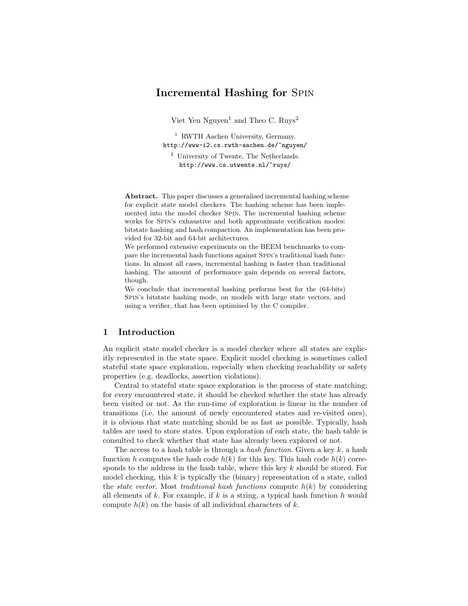# Incremental Hashing for Spin

Viet Yen Nguyen<sup>1</sup> and Theo C.  $Ruvs<sup>2</sup>$ 

<sup>1</sup> RWTH Aachen University, Germany. http://www-i2.cs.rwth-aachen.de/~nguyen/

<sup>2</sup> University of Twente, The Netherlands. http://www.cs.utwente.nl/~ruys/

Abstract. This paper discusses a generalised incremental hashing scheme for explicit state model checkers. The hashing scheme has been implemented into the model checker Spin. The incremental hashing scheme works for Spin's exhaustive and both approximate verification modes: bitstate hashing and hash compaction. An implementation has been provided for 32-bit and 64-bit architectures.

We performed extensive experiments on the BEEM benchmarks to compare the incremental hash functions against Spin's traditional hash functions. In almost all cases, incremental hashing is faster than traditional hashing. The amount of performance gain depends on several factors, though.

We conclude that incremental hashing performs best for the (64-bits) Spin's bitstate hashing mode, on models with large state vectors, and using a verifier, that has been optimised by the C compiler.

# 1 Introduction

An explicit state model checker is a model checker where all states are explicitly represented in the state space. Explicit model checking is sometimes called stateful state space exploration, especially when checking reachability or safety properties (e.g. deadlocks, assertion violations).

Central to stateful state space exploration is the process of state matching: for every encountered state, it should be checked whether the state has already been visited or not. As the run-time of exploration is linear in the number of transitions (i.e. the amount of newly encountered states and re-visited ones), it is obvious that state matching should be as fast as possible. Typically, hash tables are used to store states. Upon exploration of each state, the hash table is consulted to check whether that state has already been explored or not.

The access to a hash table is through a hash function. Given a key  $k$ , a hash function h computes the hash code  $h(k)$  for this key. This hash code  $h(k)$  corresponds to the address in the hash table, where this key k should be stored. For model checking, this  $k$  is typically the (binary) representation of a state, called the *state vector*. Most *traditional hash functions* compute  $h(k)$  by considering all elements of  $k$ . For example, if  $k$  is a string, a typical hash function  $h$  would compute  $h(k)$  on the basis of all individual characters of k.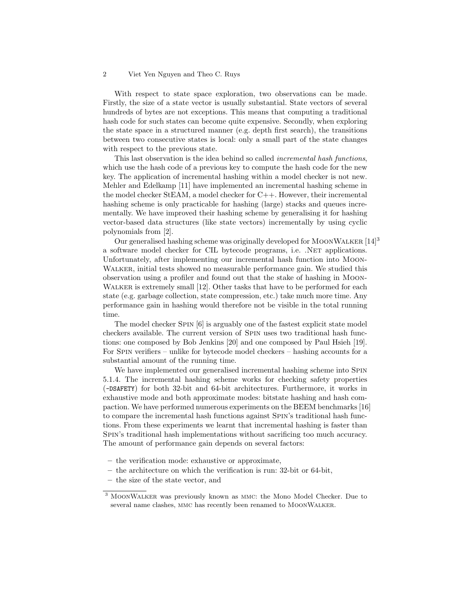With respect to state space exploration, two observations can be made. Firstly, the size of a state vector is usually substantial. State vectors of several hundreds of bytes are not exceptions. This means that computing a traditional hash code for such states can become quite expensive. Secondly, when exploring the state space in a structured manner (e.g. depth first search), the transitions between two consecutive states is local: only a small part of the state changes with respect to the previous state.

This last observation is the idea behind so called incremental hash functions, which use the hash code of a previous key to compute the hash code for the new key. The application of incremental hashing within a model checker is not new. Mehler and Edelkamp [11] have implemented an incremental hashing scheme in the model checker StEAM, a model checker for  $C++$ . However, their incremental hashing scheme is only practicable for hashing (large) stacks and queues incrementally. We have improved their hashing scheme by generalising it for hashing vector-based data structures (like state vectors) incrementally by using cyclic polynomials from [2].

Our generalised hashing scheme was originally developed for MOONWALKER [14]<sup>3</sup> a software model checker for CIL bytecode programs, i.e. .Net applications. Unfortunately, after implementing our incremental hash function into Moon-Walker, initial tests showed no measurable performance gain. We studied this observation using a profiler and found out that the stake of hashing in Moon-WALKER is extremely small [12]. Other tasks that have to be performed for each state (e.g. garbage collection, state compression, etc.) take much more time. Any performance gain in hashing would therefore not be visible in the total running time.

The model checker Spin [6] is arguably one of the fastest explicit state model checkers available. The current version of Spin uses two traditional hash functions: one composed by Bob Jenkins [20] and one composed by Paul Hsieh [19]. For Spin verifiers – unlike for bytecode model checkers – hashing accounts for a substantial amount of the running time.

We have implemented our generalised incremental hashing scheme into Spin 5.1.4. The incremental hashing scheme works for checking safety properties (-DSAFETY) for both 32-bit and 64-bit architectures. Furthermore, it works in exhaustive mode and both approximate modes: bitstate hashing and hash compaction. We have performed numerous experiments on the BEEM benchmarks [16] to compare the incremental hash functions against Spin's traditional hash functions. From these experiments we learnt that incremental hashing is faster than Spin's traditional hash implementations without sacrificing too much accuracy. The amount of performance gain depends on several factors:

- the verification mode: exhaustive or approximate,
- the architecture on which the verification is run: 32-bit or 64-bit,
- the size of the state vector, and

<sup>3</sup> MoonWalker was previously known as mmc: the Mono Model Checker. Due to several name clashes, mmc has recently been renamed to MoonWalker.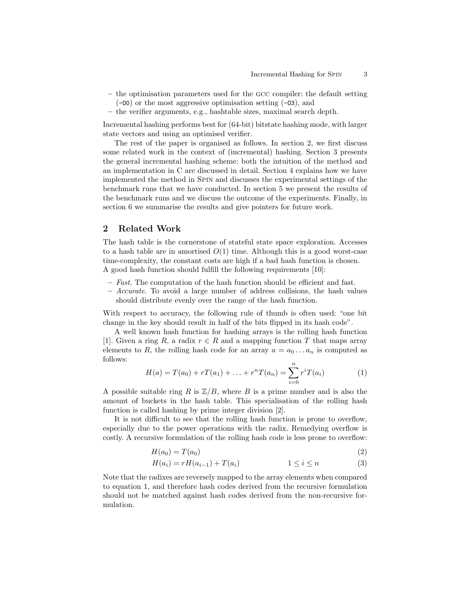- the optimisation parameters used for the gcc compiler: the default setting  $(-00)$  or the most aggressive optimisation setting  $(-03)$ , and
- the verifier arguments, e.g., hashtable sizes, maximal search depth.

Incremental hashing performs best for (64-bit) bitstate hashing mode, with larger state vectors and using an optimised verifier.

The rest of the paper is organised as follows. In section 2, we first discuss some related work in the context of (incremental) hashing. Section 3 presents the general incremental hashing scheme: both the intuition of the method and an implementation in C are discussed in detail. Section 4 explains how we have implemented the method in Spin and discusses the experimental settings of the benchmark runs that we have conducted. In section 5 we present the results of the benchmark runs and we discuss the outcome of the experiments. Finally, in section 6 we summarise the results and give pointers for future work.

# 2 Related Work

The hash table is the cornerstone of stateful state space exploration. Accesses to a hash table are in amortised  $O(1)$  time. Although this is a good worst-case time-complexity, the constant costs are high if a bad hash function is chosen. A good hash function should fulfill the following requirements [10]:

- $-$  Fast. The computation of the hash function should be efficient and fast.
- Accurate. To avoid a large number of address collisions, the hash values should distribute evenly over the range of the hash function.

With respect to accuracy, the following rule of thumb is often used: "one bit change in the key should result in half of the bits flipped in its hash code".

A well known hash function for hashing arrays is the rolling hash function [1]. Given a ring R, a radix  $r \in R$  and a mapping function T that maps array elements to R, the rolling hash code for an array  $a = a_0 \dots a_n$  is computed as follows:

$$
H(a) = T(a_0) + rT(a_1) + \ldots + r^nT(a_n) = \sum_{i=0}^n r^i T(a_i)
$$
 (1)

A possible suitable ring R is  $\mathbb{Z}/B$ , where B is a prime number and is also the amount of buckets in the hash table. This specialisation of the rolling hash function is called hashing by prime integer division [2].

It is not difficult to see that the rolling hash function is prone to overflow, especially due to the power operations with the radix. Remedying overflow is costly. A recursive formulation of the rolling hash code is less prone to overflow:

$$
H(a_0) = T(a_0) \tag{2}
$$

$$
H(a_i) = rH(a_{i-1}) + T(a_i) \qquad \qquad 1 \le i \le n \qquad (3)
$$

Note that the radixes are reversely mapped to the array elements when compared to equation 1, and therefore hash codes derived from the recursive formulation should not be matched against hash codes derived from the non-recursive formulation.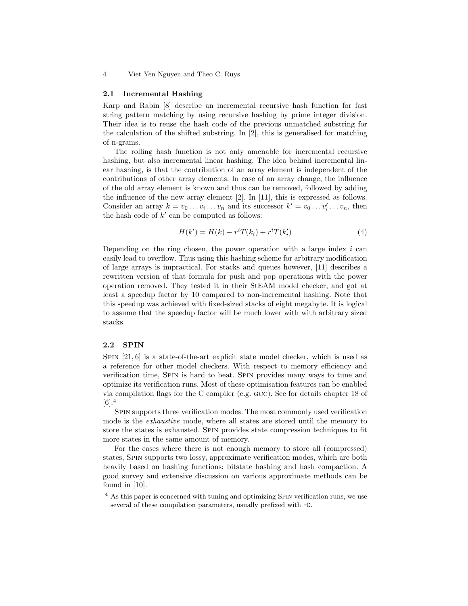### 2.1 Incremental Hashing

Karp and Rabin [8] describe an incremental recursive hash function for fast string pattern matching by using recursive hashing by prime integer division. Their idea is to reuse the hash code of the previous unmatched substring for the calculation of the shifted substring. In [2], this is generalised for matching of n-grams.

The rolling hash function is not only amenable for incremental recursive hashing, but also incremental linear hashing. The idea behind incremental linear hashing, is that the contribution of an array element is independent of the contributions of other array elements. In case of an array change, the influence of the old array element is known and thus can be removed, followed by adding the influence of the new array element [2]. In [11], this is expressed as follows. Consider an array  $k = v_0 \dots v_i \dots v_n$  and its successor  $k' = v_0 \dots v'_i \dots v_n$ , then the hash code of  $k'$  can be computed as follows:

$$
H(k') = H(k) - r^{i}T(k_{i}) + r^{i}T(k'_{i})
$$
\n(4)

Depending on the ring chosen, the power operation with a large index  $i$  can easily lead to overflow. Thus using this hashing scheme for arbitrary modification of large arrays is impractical. For stacks and queues however, [11] describes a rewritten version of that formula for push and pop operations with the power operation removed. They tested it in their StEAM model checker, and got at least a speedup factor by 10 compared to non-incremental hashing. Note that this speedup was achieved with fixed-sized stacks of eight megabyte. It is logical to assume that the speedup factor will be much lower with with arbitrary sized stacks.

# 2.2 SPIN

SPIN [21, 6] is a state-of-the-art explicit state model checker, which is used as a reference for other model checkers. With respect to memory efficiency and verification time, Spin is hard to beat. Spin provides many ways to tune and optimize its verification runs. Most of these optimisation features can be enabled via compilation flags for the C compiler (e.g. gcc). See for details chapter 18 of  $[6].<sup>4</sup>$ 

Spin supports three verification modes. The most commonly used verification mode is the exhaustive mode, where all states are stored until the memory to store the states is exhausted. Spin provides state compression techniques to fit more states in the same amount of memory.

For the cases where there is not enough memory to store all (compressed) states, Spin supports two lossy, approximate verification modes, which are both heavily based on hashing functions: bitstate hashing and hash compaction. A good survey and extensive discussion on various approximate methods can be found in [10].

<sup>&</sup>lt;sup>4</sup> As this paper is concerned with tuning and optimizing SPIN verification runs, we use several of these compilation parameters, usually prefixed with -D.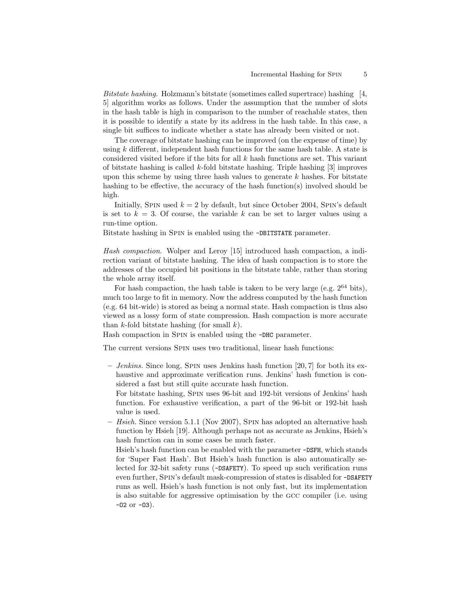Bitstate hashing. Holzmann's bitstate (sometimes called supertrace) hashing [4, 5] algorithm works as follows. Under the assumption that the number of slots in the hash table is high in comparison to the number of reachable states, then it is possible to identify a state by its address in the hash table. In this case, a single bit suffices to indicate whether a state has already been visited or not.

The coverage of bitstate hashing can be improved (on the expense of time) by using k different, independent hash functions for the same hash table. A state is considered visited before if the bits for all  $k$  hash functions are set. This variant of bitstate hashing is called k-fold bitstate hashing. Triple hashing [3] improves upon this scheme by using three hash values to generate  $k$  hashes. For bitstate hashing to be effective, the accuracy of the hash function(s) involved should be high.

Initially, SPIN used  $k = 2$  by default, but since October 2004, SPIN's default is set to  $k = 3$ . Of course, the variable k can be set to larger values using a run-time option.

Bitstate hashing in SPIN is enabled using the -DBITSTATE parameter.

Hash compaction. Wolper and Leroy [15] introduced hash compaction, a indirection variant of bitstate hashing. The idea of hash compaction is to store the addresses of the occupied bit positions in the bitstate table, rather than storing the whole array itself.

For hash compaction, the hash table is taken to be very large (e.g.  $2^{64}$  bits), much too large to fit in memory. Now the address computed by the hash function (e.g. 64 bit-wide) is stored as being a normal state. Hash compaction is thus also viewed as a lossy form of state compression. Hash compaction is more accurate than  $k$ -fold bitstate hashing (for small  $k$ ).

Hash compaction in SPIN is enabled using the -DHC parameter.

The current versions Spin uses two traditional, linear hash functions:

- $-$  Jenkins. Since long, SPIN uses Jenkins hash function [20, 7] for both its exhaustive and approximate verification runs. Jenkins' hash function is considered a fast but still quite accurate hash function.
	- For bitstate hashing, Spin uses 96-bit and 192-bit versions of Jenkins' hash function. For exhaustive verification, a part of the 96-bit or 192-bit hash value is used.
- $-$  Hsieh. Since version 5.1.1 (Nov 2007), SPIN has adopted an alternative hash function by Hsieh [19]. Although perhaps not as accurate as Jenkins, Hsieh's hash function can in some cases be much faster.
	- Hsieh's hash function can be enabled with the parameter -DSFH, which stands for 'Super Fast Hash'. But Hsieh's hash function is also automatically selected for 32-bit safety runs (-DSAFETY). To speed up such verification runs even further, Spin's default mask-compression of states is disabled for -DSAFETY runs as well. Hsieh's hash function is not only fast, but its implementation is also suitable for aggressive optimisation by the gcc compiler (i.e. using  $-02$  or  $-03$ ).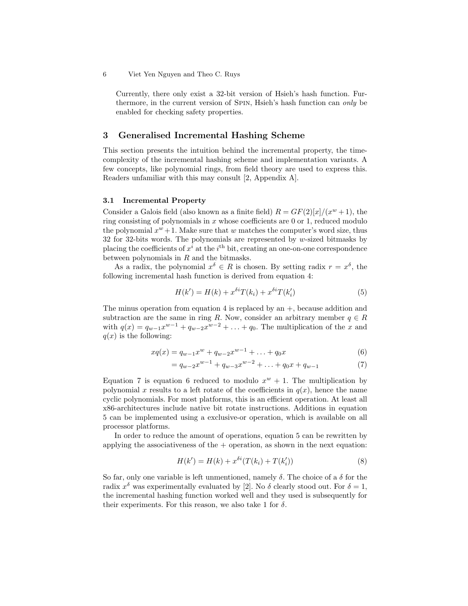Currently, there only exist a 32-bit version of Hsieh's hash function. Furthermore, in the current version of Spin, Hsieh's hash function can only be enabled for checking safety properties.

# 3 Generalised Incremental Hashing Scheme

This section presents the intuition behind the incremental property, the timecomplexity of the incremental hashing scheme and implementation variants. A few concepts, like polynomial rings, from field theory are used to express this. Readers unfamiliar with this may consult [2, Appendix A].

## 3.1 Incremental Property

Consider a Galois field (also known as a finite field)  $R = GF(2)[x]/(x^w + 1)$ , the ring consisting of polynomials in  $x$  whose coefficients are 0 or 1, reduced modulo the polynomial  $x^w + 1$ . Make sure that w matches the computer's word size, thus 32 for 32-bits words. The polynomials are represented by  $w$ -sized bitmasks by placing the coefficients of  $x^i$  at the i<sup>th</sup> bit, creating an one-on-one correspondence between polynomials in  $R$  and the bitmasks.

As a radix, the polynomial  $x^{\delta} \in R$  is chosen. By setting radix  $r = x^{\delta}$ , the following incremental hash function is derived from equation 4:

$$
H(k') = H(k) + x^{\delta i} T(k_i) + x^{\delta i} T(k_i')
$$
\n<sup>(5)</sup>

The minus operation from equation 4 is replaced by an  $+$ , because addition and subtraction are the same in ring R. Now, consider an arbitrary member  $q \in R$ with  $q(x) = q_{w-1}x^{w-1} + q_{w-2}x^{w-2} + \ldots + q_0$ . The multiplication of the x and  $q(x)$  is the following:

$$
xq(x) = q_{w-1}x^w + q_{w-2}x^{w-1} + \ldots + q_0x \tag{6}
$$

$$
= q_{w-2}x^{w-1} + q_{w-3}x^{w-2} + \ldots + q_0x + q_{w-1}
$$
\n<sup>(7)</sup>

Equation 7 is equation 6 reduced to modulo  $x^w + 1$ . The multiplication by polynomial x results to a left rotate of the coefficients in  $q(x)$ , hence the name cyclic polynomials. For most platforms, this is an efficient operation. At least all x86-architectures include native bit rotate instructions. Additions in equation 5 can be implemented using a exclusive-or operation, which is available on all processor platforms.

In order to reduce the amount of operations, equation 5 can be rewritten by applying the associativeness of the  $+$  operation, as shown in the next equation:

$$
H(k') = H(k) + x^{\delta i} (T(k_i) + T(k_i'))
$$
\n(8)

So far, only one variable is left unmentioned, namely  $\delta$ . The choice of a  $\delta$  for the radix  $x^{\delta}$  was experimentally evaluated by [2]. No  $\delta$  clearly stood out. For  $\delta = 1$ , the incremental hashing function worked well and they used is subsequently for their experiments. For this reason, we also take 1 for  $\delta$ .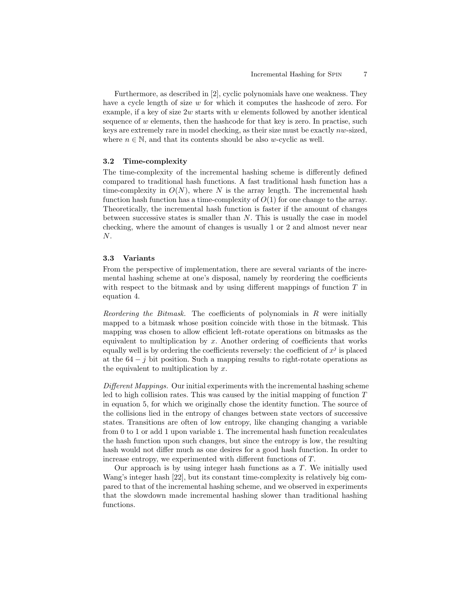Furthermore, as described in [2], cyclic polynomials have one weakness. They have a cycle length of size w for which it computes the hashcode of zero. For example, if a key of size  $2w$  starts with w elements followed by another identical sequence of  $w$  elements, then the hashcode for that key is zero. In practise, such keys are extremely rare in model checking, as their size must be exactly nw-sized, where  $n \in \mathbb{N}$ , and that its contents should be also w-cyclic as well.

#### 3.2 Time-complexity

The time-complexity of the incremental hashing scheme is differently defined compared to traditional hash functions. A fast traditional hash function has a time-complexity in  $O(N)$ , where N is the array length. The incremental hash function hash function has a time-complexity of  $O(1)$  for one change to the array. Theoretically, the incremental hash function is faster if the amount of changes between successive states is smaller than  $N$ . This is usually the case in model checking, where the amount of changes is usually 1 or 2 and almost never near N.

### 3.3 Variants

From the perspective of implementation, there are several variants of the incremental hashing scheme at one's disposal, namely by reordering the coefficients with respect to the bitmask and by using different mappings of function  $T$  in equation 4.

Reordering the Bitmask. The coefficients of polynomials in  $R$  were initially mapped to a bitmask whose position coincide with those in the bitmask. This mapping was chosen to allow efficient left-rotate operations on bitmasks as the equivalent to multiplication by  $x$ . Another ordering of coefficients that works equally well is by ordering the coefficients reversely: the coefficient of  $x^j$  is placed at the  $64 - j$  bit position. Such a mapping results to right-rotate operations as the equivalent to multiplication by  $x$ .

Different Mappings. Our initial experiments with the incremental hashing scheme led to high collision rates. This was caused by the initial mapping of function T in equation 5, for which we originally chose the identity function. The source of the collisions lied in the entropy of changes between state vectors of successive states. Transitions are often of low entropy, like changing changing a variable from 0 to 1 or add 1 upon variable i. The incremental hash function recalculates the hash function upon such changes, but since the entropy is low, the resulting hash would not differ much as one desires for a good hash function. In order to increase entropy, we experimented with different functions of T.

Our approach is by using integer hash functions as a  $T$ . We initially used Wang's integer hash [22], but its constant time-complexity is relatively big compared to that of the incremental hashing scheme, and we observed in experiments that the slowdown made incremental hashing slower than traditional hashing functions.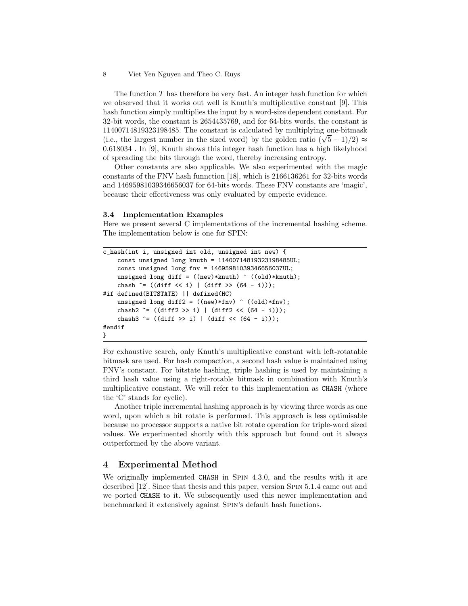The function  $T$  has therefore be very fast. An integer hash function for which we observed that it works out well is Knuth's multiplicative constant [9]. This hash function simply multiplies the input by a word-size dependent constant. For 32-bit words, the constant is 2654435769, and for 64-bits words, the constant is 11400714819323198485. The constant is calculated by multiplying one-bitmask  $(1.400/14819323198485)$ . The constant is calculated by multiplying one-bitmask (i.e., the largest number in the sized word) by the golden ratio  $(\sqrt{5}-1)/2$   $\approx$ 0.618034 . In [9], Knuth shows this integer hash function has a high likelyhood of spreading the bits through the word, thereby increasing entropy.

Other constants are also applicable. We also experimented with the magic constants of the FNV hash funnction [18], which is 2166136261 for 32-bits words and 14695981039346656037 for 64-bits words. These FNV constants are 'magic', because their effectiveness was only evaluated by emperic evidence.

## 3.4 Implementation Examples

Here we present several C implementations of the incremental hashing scheme. The implementation below is one for SPIN:

```
c_hash(int i, unsigned int old, unsigned int new) {
    const unsigned long knuth = 11400714819323198485UL;
    const unsigned long fnv = 14695981039346656037UL;
    unsigned long diff = ((new)*knut) ^ ((old)*knut);
    chash \hat{=} ((diff \langle i) | (diff >> (64 - i)));
#if defined(BITSTATE) || defined(HC)
    unsigned long diff2 = ((new)*fnv) (old)*fnv);
    chash2 ^= ((diff2 \gg i) | (diff2 \ll (64 - i)));chash3 ^= ((diff \gg i) | (diff \ll (64 - i)));#endif
}
```
For exhaustive search, only Knuth's multiplicative constant with left-rotatable bitmask are used. For hash compaction, a second hash value is maintained using FNV's constant. For bitstate hashing, triple hashing is used by maintaining a third hash value using a right-rotable bitmask in combination with Knuth's multiplicative constant. We will refer to this implementation as CHASH (where the 'C' stands for cyclic).

Another triple incremental hashing approach is by viewing three words as one word, upon which a bit rotate is performed. This approach is less optimisable because no processor supports a native bit rotate operation for triple-word sized values. We experimented shortly with this approach but found out it always outperformed by the above variant.

# 4 Experimental Method

We originally implemented CHASH in SPIN 4.3.0, and the results with it are described [12]. Since that thesis and this paper, version Spin 5.1.4 came out and we ported CHASH to it. We subsequently used this newer implementation and benchmarked it extensively against Spin's default hash functions.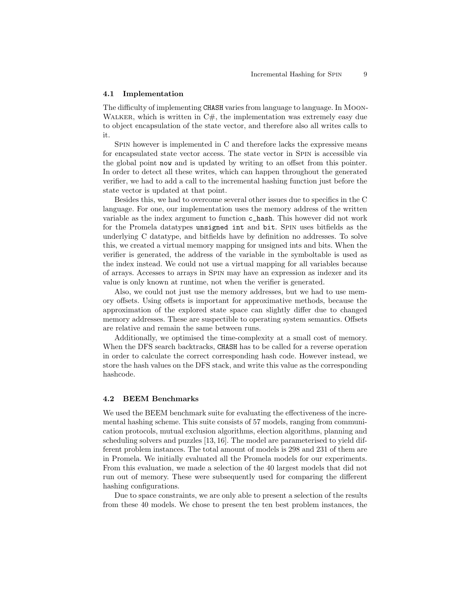#### 4.1 Implementation

The difficulty of implementing CHASH varies from language to language. In Moon-WALKER, which is written in  $C\#$ , the implementation was extremely easy due to object encapsulation of the state vector, and therefore also all writes calls to it.

Spin however is implemented in C and therefore lacks the expressive means for encapsulated state vector access. The state vector in Spin is accessible via the global point now and is updated by writing to an offset from this pointer. In order to detect all these writes, which can happen throughout the generated verifier, we had to add a call to the incremental hashing function just before the state vector is updated at that point.

Besides this, we had to overcome several other issues due to specifics in the C language. For one, our implementation uses the memory address of the written variable as the index argument to function c\_hash. This however did not work for the Promela datatypes unsigned int and bit. Spin uses bitfields as the underlying C datatype, and bitfields have by definition no addresses. To solve this, we created a virtual memory mapping for unsigned ints and bits. When the verifier is generated, the address of the variable in the symboltable is used as the index instead. We could not use a virtual mapping for all variables because of arrays. Accesses to arrays in Spin may have an expression as indexer and its value is only known at runtime, not when the verifier is generated.

Also, we could not just use the memory addresses, but we had to use memory offsets. Using offsets is important for approximative methods, because the approximation of the explored state space can slightly differ due to changed memory addresses. These are suspectible to operating system semantics. Offsets are relative and remain the same between runs.

Additionally, we optimised the time-complexity at a small cost of memory. When the DFS search backtracks, CHASH has to be called for a reverse operation in order to calculate the correct corresponding hash code. However instead, we store the hash values on the DFS stack, and write this value as the corresponding hashcode.

### 4.2 BEEM Benchmarks

We used the BEEM benchmark suite for evaluating the effectiveness of the incremental hashing scheme. This suite consists of 57 models, ranging from communication protocols, mutual exclusion algorithms, election algorithms, planning and scheduling solvers and puzzles [13, 16]. The model are parameterised to yield different problem instances. The total amount of models is 298 and 231 of them are in Promela. We initially evaluated all the Promela models for our experiments. From this evaluation, we made a selection of the 40 largest models that did not run out of memory. These were subsequently used for comparing the different hashing configurations.

Due to space constraints, we are only able to present a selection of the results from these 40 models. We chose to present the ten best problem instances, the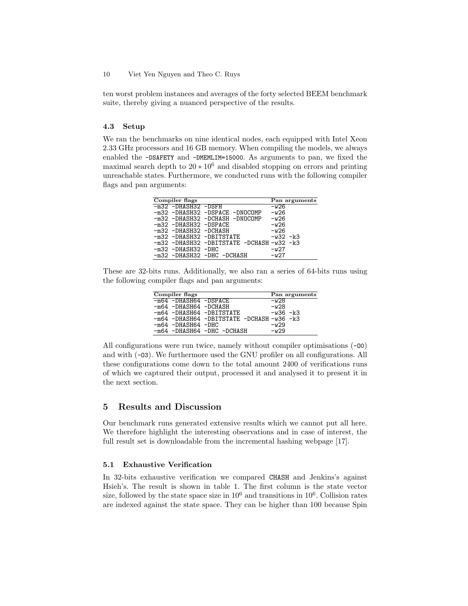ten worst problem instances and averages of the forty selected BEEM benchmark suite, thereby giving a nuanced perspective of the results.

## 4.3 Setup

We ran the benchmarks on nine identical nodes, each equipped with Intel Xeon 2.33 GHz processors and 16 GB memory. When compiling the models, we always enabled the -DSAFETY and -DMEMLIM=15000. As arguments to pan, we fixed the maximal search depth to  $20 * 10^6$  and disabled stopping on errors and printing unreachable states. Furthermore, we conducted runs with the following compiler flags and pan arguments:

| <b>Compiler flags</b> |                                          | Pan arguments |
|-----------------------|------------------------------------------|---------------|
| $-m32$ -DHASH32 -DSFH |                                          | $-w26$        |
|                       | -m32 -DHASH32 -DSPACE -DNOCOMP           | $-w26$        |
|                       | -m32 -DHASH32 -DCHASH -DNOCOMP           | $-w26$        |
| -m32 -DHASH32 -DSPACE |                                          | $-w26$        |
| -m32 -DHASH32 -DCHASH |                                          | $-w26$        |
|                       | -m32 -DHASH32 -DBITSTATE                 | $-w32 - k3$   |
|                       | -m32 -DHASH32 -DBITSTATE -DCHASH-w32 -k3 |               |
| $-m32$ -DHASH32 -DHC  |                                          | $-w27$        |
|                       | -m32 -DHASH32 -DHC -DCHASH               | $-w27$        |

These are 32-bits runs. Additionally, we also ran a series of 64-bits runs using the following compiler flags and pan arguments:

| <b>Compiler flags</b>   |                                          | Pan arguments |
|-------------------------|------------------------------------------|---------------|
| $-m64$ -DHASH64 -DSPACE |                                          | -w28          |
| -m64 -DHASH64 -DCHASH   |                                          | $-w28$        |
|                         | -m64 -DHASH64 -DBITSTATE                 | $-w36 - k3$   |
|                         | -m64 -DHASH64 -DBITSTATE -DCHASH-w36 -k3 |               |
| $-m64$ -DHASH64 -DHC    |                                          | $-w29$        |
|                         | -m64 -DHASH64 -DHC -DCHASH               | $-w29$        |

All configurations were run twice, namely without compiler optimisations  $(-00)$ and with  $(-03)$ . We furthermore used the GNU profiler on all configurations. All these configurations come down to the total amount 2400 of verifications runs of which we captured their output, processed it and analysed it to present it in the next section.

# 5 Results and Discussion

Our benchmark runs generated extensive results which we cannot put all here. We therefore highlight the interesting observations and in case of interest, the full result set is downloadable from the incremental hashing webpage [17].

## 5.1 Exhaustive Verification

In 32-bits exhaustive verification we compared CHASH and Jenkins's against Hsieh's. The result is shown in table 1. The first column is the state vector size, followed by the state space size in  $10^6$  and transitions in  $10^6$ . Collision rates are indexed against the state space. They can be higher than 100 because Spin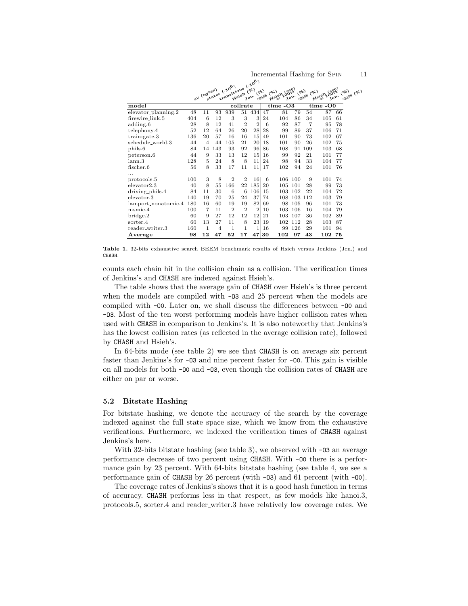|                                                                                                                                                       |     |    |      |                |                | $\mathcal{C}$  |       |     | (0) | CHASH (%) |     | (0)<br>CHASH (%) |
|-------------------------------------------------------------------------------------------------------------------------------------------------------|-----|----|------|----------------|----------------|----------------|-------|-----|-----|-----------|-----|------------------|
| transitions (.100)<br>states (106)<br>$e^{\sqrt{2}}$ (bytes)<br>Heleh 00%<br>Hsieh door<br>CHASH (%)<br>$time -00$<br>model<br>collrate<br>$time -03$ |     |    |      |                |                |                |       |     |     |           |     |                  |
| elevator_planning.2                                                                                                                                   | 48  | 11 | 93   | 939            | 51             | 434            | 47    | 81  | 79  | 54        | 87  | 66               |
| firewire_link.5                                                                                                                                       | 404 | 6  | 12   | 3              | 3              | 3              | 24    | 104 | 86  | 34        | 105 | 61               |
| adding.6                                                                                                                                              | 28  | 8  | 12   | 41             | $\overline{2}$ | $\overline{2}$ | 6     | 92  | 87  | 7         | 95  | 78               |
| telephony.4                                                                                                                                           | 52  | 12 | 64   | 26             | 20             | 28             | 28    | 99  | 89  | 37        | 106 | 71               |
| train-gate.3                                                                                                                                          | 136 | 20 | 57   | 16             | 16             | 15             | 49    | 101 | 90  | 73        | 102 | 67               |
| schedule_world.3                                                                                                                                      | 44  | 4  | 44   | 105            | 21             | 20             | 18    | 101 | 90  | 26        | 102 | 75               |
| phils.6                                                                                                                                               | 84  | 14 | 143  | 93             | 92             | 96             | 86    | 108 | 91  | 109       | 103 | 68               |
| peterson.6                                                                                                                                            | 44  | 9  | 33   | 13             | 12             | 15             | 16    | 99  | 92  | 21        | 101 | 77               |
| lann.3                                                                                                                                                | 128 | 5  | 24   | 8              | 8              | 11             | 24    | 98  | 94  | 33        | 104 | 77               |
| fischer.6                                                                                                                                             | 56  | 8  | $33$ | 17             | 11             | 11             | 17    | 102 | 94  | 24        | 101 | 76               |
|                                                                                                                                                       |     |    |      |                |                |                |       |     |     |           |     |                  |
| protocols.5                                                                                                                                           | 100 | 3  | 8    | $\overline{2}$ | $\overline{2}$ | 16             | 6     | 106 | 100 | 9         | 101 | 74               |
| $e$ levator $2.3$                                                                                                                                     | 40  | 8  | 55   | 166            | 22             | 185            | 20    | 105 | 101 | 28        | 99  | 73               |
| driving_phils.4                                                                                                                                       | 84  | 11 | 30   | 6              | 6              | 106            | 15    | 103 | 102 | 22        | 104 | 72               |
| elevator.3                                                                                                                                            | 140 | 19 | 70   | 25             | 24             | 37             | 74    | 108 | 103 | 112       | 103 | 79               |
| lamport_nonatomic.4                                                                                                                                   | 180 | 16 | 60   | 19             | 19             | 82             | 69    | 98  | 105 | 96        | 101 | 73               |
| msmie.4                                                                                                                                               | 100 | 7  | 11   | $\overline{2}$ | $\overline{2}$ | $\overline{2}$ | 10    | 103 | 106 | 16        | 104 | 79               |
| bridge.2                                                                                                                                              | 60  | 9  | 27   | 12             | 12             | 12             | 21    | 103 | 107 | 36        | 102 | 89               |
| sorter.4                                                                                                                                              | 60  | 13 | 27   | 11             | 8              | 23             | 19    | 102 | 112 | 28        | 103 | 87               |
| reader_writer.3                                                                                                                                       | 160 | 1  | 4    | 1              | 1              | 1              | 16    | 99  | 126 | 29        | 101 | 94               |
| Average                                                                                                                                               | 98  | 12 | 47   | 52             | 17             |                | 47 30 | 102 | 97  | 43        | 102 | 75               |

Table 1. 32-bits exhaustive search BEEM benchmark results of Hsieh versus Jenkins (Jen.) and CHASH.

counts each chain hit in the collision chain as a collision. The verification times of Jenkins's and CHASH are indexed against Hsieh's.

The table shows that the average gain of CHASH over Hsieh's is three percent when the models are compiled with  $-03$  and 25 percent when the models are compiled with -O0. Later on, we shall discuss the differences between -O0 and -O3. Most of the ten worst performing models have higher collision rates when used with CHASH in comparison to Jenkins's. It is also noteworthy that Jenkins's has the lowest collision rates (as reflected in the average collision rate), followed by CHASH and Hsieh's.

In 64-bits mode (see table 2) we see that CHASH is on average six percent faster than Jenkins's for -O3 and nine percent faster for -O0. This gain is visible on all models for both -O0 and -O3, even though the collision rates of CHASH are either on par or worse.

#### 5.2 Bitstate Hashing

For bitstate hashing, we denote the accuracy of the search by the coverage indexed against the full state space size, which we know from the exhaustive verifications. Furthermore, we indexed the verification times of CHASH against Jenkins's here.

With 32-bits bitstate hashing (see table 3), we observed with  $-03$  an average performance decrease of two percent using CHASH. With -O0 there is a performance gain by 23 percent. With 64-bits bitstate hashing (see table 4, we see a performance gain of CHASH by 26 percent (with -O3) and 61 percent (with -O0).

The coverage rates of Jenkins's shows that it is a good hash function in terms of accuracy. CHASH performs less in that respect, as few models like hanoi.3, protocols.5, sorter.4 and reader writer.3 have relatively low coverage rates. We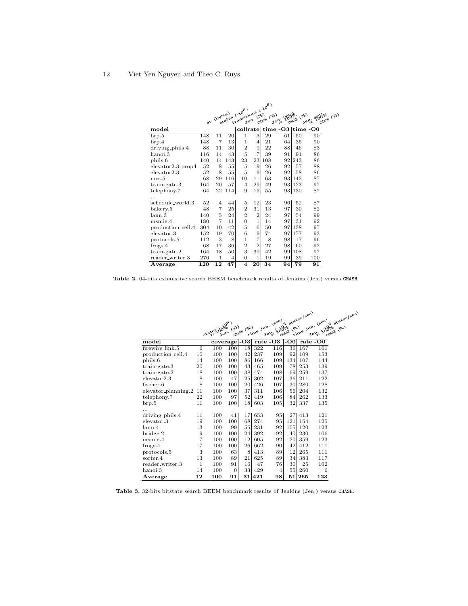|                           |     | transitions (.106)<br>states (.108) |                 |                     |                |           |                 |            |            |           |  |  |
|---------------------------|-----|-------------------------------------|-----------------|---------------------|----------------|-----------|-----------------|------------|------------|-----------|--|--|
|                           |     |                                     |                 |                     |                |           |                 |            |            |           |  |  |
|                           |     | sv (bytes)                          |                 |                     |                | CHASH (%) | Jen: Jogodo     | CHASH (0%) | Jen: 900%  | CHASH (%) |  |  |
| $\overline{\text{model}}$ |     |                                     |                 | collrate            |                |           | $time - O3$     |            | $time -00$ |           |  |  |
| brp.5                     | 148 | 11                                  | 20              | $\mathbf{1}$        | 3              | 29        | 61              | 50         | 90         |           |  |  |
| $_{\rm brp.4}$            | 148 | 7                                   | 13              | 1                   | 4              | 21        | 64              | 35         | 90         |           |  |  |
| driving_phils.4           | 88  | 11                                  | 30              | $\overline{2}$      | 9              | 22        | 88              | 46         | 83         |           |  |  |
| hanoi.3                   | 116 | 14                                  | 43              | 5                   | $\overline{7}$ | 39        | 91              | 91         | 86         |           |  |  |
| phils.6                   | 140 | 14                                  | 143             | 23                  | 23             | 108       | 92              | 243        | 86         |           |  |  |
| elevator2.3_prop4         | 52  | 8                                   | 55              | 5                   | 9              | 26        | 92              | 57         | 88         |           |  |  |
| elevator2.3               | 52  | 8                                   | 55              | 5                   | 9              | 26        | 92              | 58         | 86         |           |  |  |
| mcs.5                     | 68  | 29                                  | 116             | 10                  | 11             | 63        |                 | 93 142     | 87         |           |  |  |
| train-gate.3              | 164 | 20                                  | 57              | 4                   | 29             | 49        |                 | 93 123     | 97         |           |  |  |
| telephony.7               | 64  | 22                                  | 114             | 9                   | 15             | 55        |                 | 93 130     | 87         |           |  |  |
|                           |     |                                     |                 |                     |                |           |                 |            |            |           |  |  |
| schedule_world.3          | 52  | 4                                   | 44              | 5                   | 12             | 23        | 96              | 52         | 87         |           |  |  |
| bakery.5                  | 48  | 7                                   | 25              | $\overline{2}$      | 31             | 13        | 97              | 30         | 82         |           |  |  |
| lann.3                    | 140 | 5                                   | 24              | $\overline{2}$      | $\overline{2}$ | 24        | 97              | 54         | 99         |           |  |  |
| msmie.4                   | 180 | 7                                   | 11              | $\overline{0}$      | $\mathbf{1}$   | 14        | 97              | 31         | 92         |           |  |  |
| production_cell.4         | 304 | 10                                  | 42              | 5                   | 6              | 50        | 97              | 138        | 97         |           |  |  |
| elevator.3                | 152 | 19                                  | 70              | 6                   | 9              | 74        | 97              | 177        | 93         |           |  |  |
| protocols.5               | 112 | 3                                   | 8               | $\mathbf{1}$        | 7              | 8         | 98              | 17         | 96         |           |  |  |
| frogs. $4$                | 68  | 17                                  | 36              | $\overline{2}$      | $\overline{2}$ | 27        | 98              | 60         | 92         |           |  |  |
| $train-gate.2$            | 164 | 18                                  | 50              | 3                   | 30             | 42        | 99              | 108        | 97         |           |  |  |
| reader_writer.3           | 276 | $\mathbf{1}$                        | 4               | 0                   | 1              | 19        | 99              | 39         | 100        |           |  |  |
| Average                   | 120 | $\overline{12}$                     | $\overline{47}$ | $\overline{\bf{4}}$ | 20             | 34        | $\overline{9}4$ | 79         | 91         |           |  |  |

Table 2. 64-bits exhaustive search BEEM benchmark results of Jenkins (Jen.) versus CHASH

|                           |    |                                          |          |           |     | Jep States/sec) |      |        | Jep. (108% etates/sec) |
|---------------------------|----|------------------------------------------|----------|-----------|-----|-----------------|------|--------|------------------------|
|                           |    | state = 00%                              | (0)      |           |     | time Jen. (sec) |      |        |                        |
|                           |    |                                          |          | CHASH (%) |     |                 |      |        |                        |
| model                     |    | $\frac{1}{2}$ coverage - O $\frac{1}{3}$ |          |           |     | rate -O3        | $-O$ |        | rate -O0               |
| firewire_link.5           | 6  | 100                                      | 100      | 18        | 322 | 116             | 36   | 167    | 161                    |
| production_cell.4         | 10 | 100                                      | 100      | 42        | 237 | 109             | 92   | 109    | 153                    |
| phils.6                   | 14 | 100                                      | 100      | 86        | 166 | 109             | 134  | 107    | 144                    |
| train-gate.3              | 20 | 100                                      | 100      | 43        | 465 | 109             | 78   | 253    | 139                    |
| $train-gate.2$            | 18 | 100                                      | 100      | 38        | 474 | 108             | 69   | 259    | 137                    |
| elevator2.3               | 8  | 100                                      | 47       | 25        | 302 | 107             | 36   | 211    | 122                    |
| fischer.6                 | 8  | 100                                      | 100      | 20        | 426 | 107             | 30   | 280    | 128                    |
| $e$ levator_planning. $2$ | 11 | 100                                      | 100      | 37        | 311 | 106             | 56   | 204    | 132                    |
| telephony.7               | 22 | 100                                      | 97       | 52        | 419 | 106             | 84   | 262    | 133                    |
| $_{\rm brp.5}$            | 11 | 100                                      | 100      | 18        | 603 | 105             | 32   | 337    | 135                    |
|                           |    |                                          |          |           |     |                 |      |        |                        |
| driving_phils.4           | 11 | 100                                      | 41       | 17        | 653 | 95              | 27   | 413    | 121                    |
| elevator.3                | 19 | 100                                      | 100      | 68        | 274 | 95              | 121  | 154    | 125                    |
| lann.4                    | 13 | 100                                      | 99       | 55        | 231 | 92              | 105  | 120    | 123                    |
| bridge.2                  | 9  | 100                                      | 100      | 24        | 392 | 92              | 40   | 230    | 106                    |
| msmie.4                   | 7  | 100                                      | 100      | 12        | 605 | 92              | 20   | 359    | 123                    |
| frogs. $4$                | 17 | 100                                      | 100      | 26        | 662 | 90              | 42   | 412    | 111                    |
| protocols.5               | 3  | 100                                      | 63       | 8         | 413 | 89              | 12   | 265    | 111                    |
| sorter.4                  | 13 | 100                                      | 89       | 21        | 625 | 89              | 34   | 383    | 117                    |
| reader_writer.3           | 1  | 100                                      | 91       | 16        | 47  | 76              | 30   | 25     | 102                    |
| hanoi.3                   | 14 | 100                                      | $\theta$ | 33        | 429 | 4               | 55   | 260    | 6                      |
| Average                   | 12 | 100                                      | 91       | 31 I      | 421 | 98              |      | 51 265 | 123                    |

Table 3. 32-bits bitstate search BEEM benchmark results of Jenkins (Jen.) versus CHASH.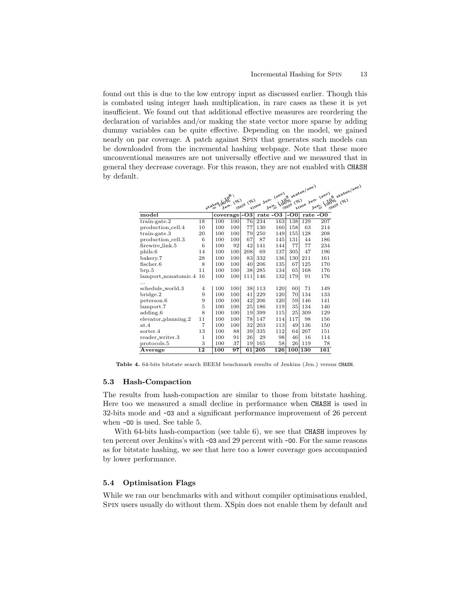found out this is due to the low entropy input as discussed earlier. Though this is combated using integer hash multiplication, in rare cases as these it is yet insufficient. We found out that additional effective measures are reordering the declaration of variables and/or making the state vector more sparse by adding dummy variables can be quite effective. Depending on the model, we gained nearly on par coverage. A patch against SPIN that generates such models can be downloaded from the incremental hashing webpage. Note that these more unconventional measures are not universally effective and we measured that in general they decrease coverage. For this reason, they are not enabled with CHASH by default.

|                     |                 |                  |     |           |                 |     |         | Jen Light states/sec) | Jen. Jane states/sec. |
|---------------------|-----------------|------------------|-----|-----------|-----------------|-----|---------|-----------------------|-----------------------|
|                     |                 | states10000      |     |           | time Jen. (sec) |     |         |                       |                       |
|                     |                 |                  | (9) |           |                 |     |         |                       |                       |
|                     |                 |                  |     | CHASH (%) |                 |     |         | time Jen.             |                       |
| model               |                 | $coverage$  -03  |     |           | rate -O3        |     | $-00$   | rate -O0              |                       |
| $train-gate.2$      | 18              | 100              | 100 | 76        | 234             | 163 | 138     | 129                   | 207                   |
| production_cell.4   | 10              | 100              | 100 | 77        | 130             | 160 | 158     | 63                    | 214                   |
| $train-gate.3$      | 20              | 100              | 100 | 79        | 250             | 149 | 155     | 128                   | 208                   |
| production_cell.3   | 6               | 100              | 100 | 67        | 87              | 145 | 131     | 44                    | 186                   |
| firewire_link.5     | 6               | 100              | 92  | 42        | 141             | 144 | 77      | 77                    | 234                   |
| phils.6             | 14              | 100              | 100 | 208       | 69              | 137 | 305     | 47                    | 196                   |
| bakery.7            | 28              | 100              | 100 | 83        | 332             | 136 | 130     | 211                   | 161                   |
| fischer.6           | 8               | 100              | 100 | 40        | 206             | 135 | 67      | 125                   | 170                   |
| $_{\rm brp.5}$      | 11              | 100              | 100 | 38        | 285             | 134 | 65      | 168                   | 176                   |
| lamport_nonatomic.4 | 16              | 100              | 100 | 111       | 146             | 132 | 179     | 91                    | 176                   |
|                     |                 |                  |     |           |                 |     |         |                       |                       |
| schedule_world.3    | 4               | 100              | 100 | 38 I      | 113             | 120 | 60      | 71                    | 149                   |
| bridge.2            | 9               | 100              | 100 | 41        | 229             | 120 | 70      | 134                   | 133                   |
| peterson.6          | 9               | 100              | 100 | 42        | 206             | 120 | 59      | 146                   | 141                   |
| lamport.7           | 5               | 100              | 100 | 25        | 186             | 119 | 35      | 134                   | 140                   |
| adding.6            | 8               | 100              | 100 | 19        | 399             | 115 | 25      | 309                   | 129                   |
| elevator_planning.2 | 11              | 100              | 100 | 78        | 147             | 114 | 117     | 98                    | 156                   |
| at.4                | 7               | 100              | 100 | 32        | 203             | 113 | 49      | 136                   | 150                   |
| sorter.4            | 13              | 100              | 88  | 39        | 335             | 112 | 64      | 207                   | 151                   |
| reader_writer.3     | 1               | 100              | 91  | 26        | 29              | 98  | 46      | 16                    | 114                   |
| protocols.5         | 3               | 100              | 37  | 19        | 165             | 58  | 26      | 119                   | 78                    |
| Average             | $\overline{12}$ | $\overline{100}$ | 97  | 61        | 205             | 126 | 100 130 |                       | 161                   |

Table 4. 64-bits bitstate search BEEM benchmark results of Jenkins (Jen.) versus CHASH.

## 5.3 Hash-Compaction

The results from hash-compaction are similar to those from bitstate hashing. Here too we measured a small decline in performance when CHASH is used in 32-bits mode and -O3 and a significant performance improvement of 26 percent when -O0 is used. See table 5.

With 64-bits hash-compaction (see table 6), we see that CHASH improves by ten percent over Jenkins's with -03 and 29 percent with -00. For the same reasons as for bitstate hashing, we see that here too a lower coverage goes accompanied by lower performance.

## 5.4 Optimisation Flags

While we ran our benchmarks with and without compiler optimisations enabled, Spin users usually do without them. XSpin does not enable them by default and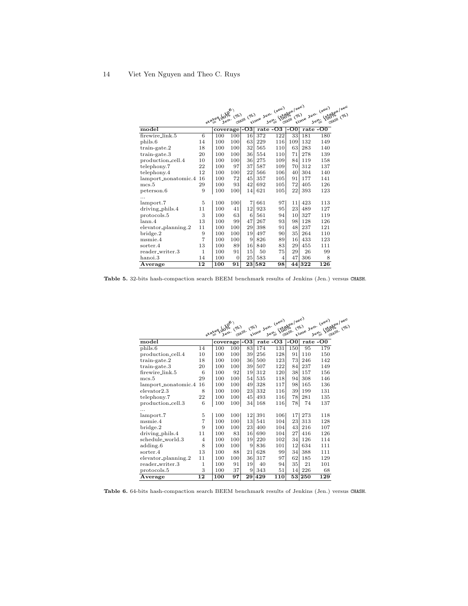|                     |    |              |     |           |        | Jen: februar (sec) |     |        | Jen Latabes   sec |  |
|---------------------|----|--------------|-----|-----------|--------|--------------------|-----|--------|-------------------|--|
|                     |    | states (00%) | (0) | CHASH (%) |        | time Jen. (sec)    |     |        | time Jen. (sec)   |  |
|                     |    |              |     |           |        |                    |     |        |                   |  |
| model               |    | coverage     |     | $-O3$     |        | $rate -03$         | -O0 |        | rate $-0$         |  |
| firewire_link.5     | 6  | 100          | 100 | 16        | 372    | 122                | 33  | 181    | 180               |  |
| phils.6             | 14 | 100          | 100 | 63        | 229    | 116                | 109 | 132    | 149               |  |
| $train-gate.2$      | 18 | 100          | 100 | 32        | 565    | 110                | 63  | 283    | 140               |  |
| train-gate.3        | 20 | 100          | 100 | 36        | 554    | 110                | 71  | 278    | 139               |  |
| production_cell.4   | 10 | 100          | 100 | 36        | 275    | 109                | 84  | 119    | 158               |  |
| telephony.7         | 22 | 100          | 97  | 37        | 587    | 109                | 70  | 312    | 137               |  |
| telephony.4         | 12 | 100          | 100 | 22        | 566    | 106                | 40  | 304    | 140               |  |
| lamport_nonatomic.4 | 16 | 100          | 72  | 45        | 357    | 105                | 91  | 177    | 141               |  |
| mcs.5               | 29 | 100          | 93  | 42        | 692    | 105                | 72  | 405    | 126               |  |
| peterson.6          | 9  | 100          | 100 | 14        | 621    | 105                | 22  | 393    | 123               |  |
|                     |    |              |     |           |        |                    |     |        |                   |  |
| lamport.7           | 5  | 100          | 100 | 7         | 661    | 97                 | 11  | 423    | 113               |  |
| driving_phils.4     | 11 | 100          | 41  | 12        | 923    | 95                 | 23  | 489    | 127               |  |
| protocols.5         | 3  | 100          | 63  | 6         | 561    | 94                 | 10  | 327    | 119               |  |
| lann.4              | 13 | 100          | 99  | 47        | 267    | 93                 | 98  | 128    | 126               |  |
| elevator_planning.2 | 11 | 100          | 100 | 29        | 398    | 91                 | 48  | 237    | 121               |  |
| bridge.2            | 9  | 100          | 100 | 19        | 497    | 90                 | 35  | 264    | 110               |  |
| msmie.4             | 7  | 100          | 100 | 9         | 826    | 89                 | 16  | 433    | 123               |  |
| sorter.4            | 13 | 100          | 89  | 16        | 840    | 83                 | 29  | 455    | 111               |  |
| reader_writer.3     | 1  | 100          | 91  | 15        | 50     | 75                 | 29  | 26     | 99                |  |
| hanoi.3             | 14 | 100          | 0   | 25        | 583    | 4                  | 47  | 306    | 8                 |  |
| Average             | 12 | 100          | 91  |           | 23 582 | 98                 |     | 44 322 | 126               |  |

Table 5. 32-bits hash-compaction search BEEM benchmark results of Jenkins (Jen.) versus CHASH.

|                     |                 |                |     |        |     | Jen: 1868% sec)<br>time Jen. (sec) |     |        | Jen: (states) sec<br>time Jen. (sec) |  |
|---------------------|-----------------|----------------|-----|--------|-----|------------------------------------|-----|--------|--------------------------------------|--|
|                     |                 |                | (0) | (9)    |     |                                    |     |        |                                      |  |
|                     |                 | states10000    |     | CHASH. |     |                                    |     |        |                                      |  |
| model               |                 | $coverage -O3$ |     |        |     | rate -O3                           | -00 |        | rate -O0                             |  |
| phils.6             | 14              | 100            | 100 | 83     | 174 | 131                                | 150 | 95     | 179                                  |  |
| production_cell.4   | 10              | 100            | 100 | 39     | 256 | 128                                | 91  | 110    | 150                                  |  |
| $train-gate.2$      | 18              | 100            | 100 | 36     | 500 | 123                                | 73  | 246    | 142                                  |  |
| train-gate.3        | 20              | 100            | 100 | 39     | 507 | 122                                | 84  | 237    | 149                                  |  |
| firewire_link.5     | 6               | 100            | 92  | 19     | 312 | 120                                | 38  | 157    | 156                                  |  |
| mcs.5               | 29              | 100            | 100 | 54     | 535 | 118                                | 94  | 308    | 146                                  |  |
| lamport_nonatomic.4 | 16              | 100            | 100 | 49     | 328 | 117                                | 98  | 165    | 136                                  |  |
| $e$ levator $2.3$   | 8               | 100            | 100 | 23     | 332 | 116                                | 39  | 199    | 131                                  |  |
| telephony.7         | 22              | 100            | 100 | 45     | 493 | 116                                | 78  | 281    | 135                                  |  |
| production_cell.3   | 6               | 100            | 100 | 34     | 168 | 116                                | 78  | 74     | 137                                  |  |
|                     |                 |                |     |        |     |                                    |     |        |                                      |  |
| lamport.7           | 5               | 100            | 100 | 12     | 391 | 106                                | 17  | 273    | 118                                  |  |
| msmie.4             | 7               | 100            | 100 | 13     | 541 | 104                                | 23  | 313    | 128                                  |  |
| bridge.2            | 9               | 100            | 100 | 23     | 400 | 104                                | 43  | 216    | 107                                  |  |
| driving_phils.4     | 11              | 100            | 83  | 16     | 690 | 104                                | 27  | 416    | 126                                  |  |
| schedule_world.3    | 4               | 100            | 100 | 19     | 220 | 102                                | 34  | 126    | 114                                  |  |
| adding.6            | 8               | 100            | 100 | 9      | 836 | 101                                | 12  | 634    | 111                                  |  |
| sorter.4            | 13              | 100            | 88  | 21     | 628 | 99                                 | 34  | 388    | 111                                  |  |
| elevator_planning.2 | 11              | 100            | 100 | 36     | 317 | 97                                 | 62  | 185    | 129                                  |  |
| reader_writer.3     | 1               | 100            | 91  | 19     | 40  | 94                                 | 35  | 21     | 101                                  |  |
| protocols.5         | 3               | 100            | 37  | 9      | 343 | 51                                 | 14  | 226    | 68                                   |  |
| Average             | $\overline{12}$ | 100            | 97  | 29     | 429 | 110                                |     | 53 250 | 129                                  |  |

Table 6. 64-bits hash-compaction search BEEM benchmark results of Jenkins (Jen.) versus CHASH.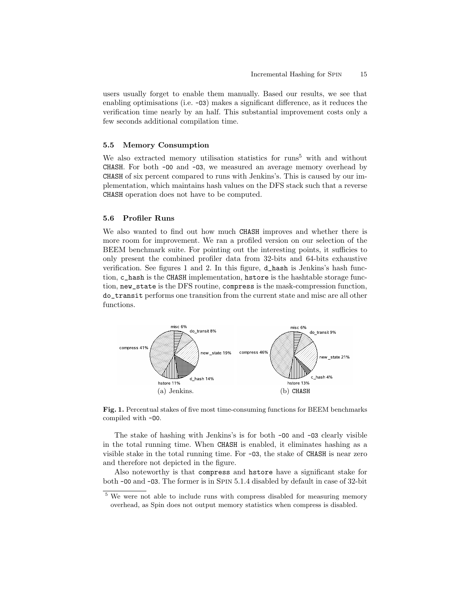users usually forget to enable them manually. Based our results, we see that enabling optimisations (i.e.  $-03$ ) makes a significant difference, as it reduces the verification time nearly by an half. This substantial improvement costs only a few seconds additional compilation time.

#### 5.5 Memory Consumption

We also extracted memory utilisation statistics for runs<sup>5</sup> with and without CHASH. For both -O0 and -O3, we measured an average memory overhead by CHASH of six percent compared to runs with Jenkins's. This is caused by our implementation, which maintains hash values on the DFS stack such that a reverse CHASH operation does not have to be computed.

# 5.6 Profiler Runs

We also wanted to find out how much CHASH improves and whether there is more room for improvement. We ran a profiled version on our selection of the BEEM benchmark suite. For pointing out the interesting points, it sufficies to only present the combined profiler data from 32-bits and 64-bits exhaustive verification. See figures 1 and 2. In this figure, d\_hash is Jenkins's hash function, c\_hash is the CHASH implementation, hstore is the hashtable storage function, new\_state is the DFS routine, compress is the mask-compression function, do\_transit performs one transition from the current state and misc are all other functions.



Fig. 1. Percentual stakes of five most time-consuming functions for BEEM benchmarks compiled with -O0.

The stake of hashing with Jenkins's is for both -O0 and -O3 clearly visible in the total running time. When CHASH is enabled, it eliminates hashing as a visible stake in the total running time. For -O3, the stake of CHASH is near zero and therefore not depicted in the figure.

Also noteworthy is that compress and hstore have a significant stake for both -00 and -03. The former is in SPIN 5.1.4 disabled by default in case of 32-bit

<sup>&</sup>lt;sup>5</sup> We were not able to include runs with compress disabled for measuring memory overhead, as Spin does not output memory statistics when compress is disabled.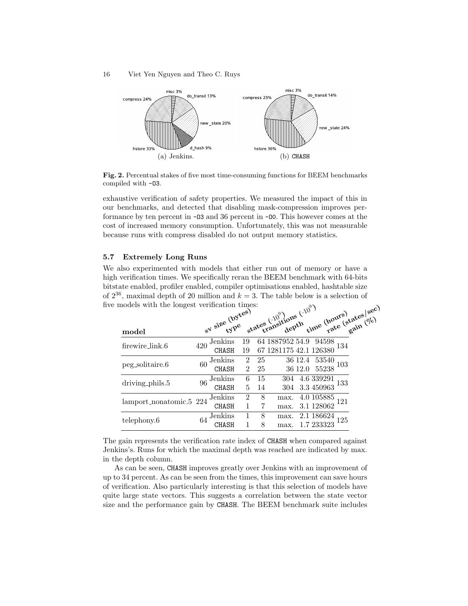

Fig. 2. Percentual stakes of five most time-consuming functions for BEEM benchmarks compiled with -O3.

exhaustive verification of safety properties. We measured the impact of this in our benchmarks, and detected that disabling mask-compression improves performance by ten percent in -O3 and 36 percent in -O0. This however comes at the cost of increased memory consumption. Unfortunately, this was not measurable because runs with compress disabled do not output memory statistics.

## 5.7 Extremely Long Runs

We also experimented with models that either run out of memory or have a high verification times. We specifically reran the BEEM benchmark with 64-bits bitstate enabled, profiler enabled, compiler optimisations enabled, hashtable size of  $2^{36}$ , maximal depth of 20 million and  $k = 3$ . The table below is a selection of five models with the longest verification times:

| models with the longest verincation times: |    |                                           |                |    |                                            |                                                                                                 |     |                         |
|--------------------------------------------|----|-------------------------------------------|----------------|----|--------------------------------------------|-------------------------------------------------------------------------------------------------|-----|-------------------------|
|                                            |    | Sy size (bytes)                           |                |    | $=$ states ( $10^9$ )<br>states ( $10^9$ ) |                                                                                                 |     | h time (hours) deep (%) |
| model                                      |    |                                           |                |    |                                            |                                                                                                 |     |                         |
| firewire_link.6                            |    | $420 \text{ Jen } \overline{\text{kins}}$ | 19             |    | $\overline{64}$ 1887952 54.9 94598 134     |                                                                                                 |     |                         |
|                                            |    | CHASH                                     | 19             |    | 67 1281175 42.1 126380                     |                                                                                                 |     |                         |
| peg_solitaire.6                            |    | $60$ Jenkins                              | $\overline{2}$ | 25 |                                            | $\begin{array}{r} 36 \ 12.4 \ \ 53540 \\ 36 \ 12.0 \ \ 55238 \end{array}$                       | 103 |                         |
|                                            |    | <b>CHASH</b>                              | $\overline{2}$ | 25 |                                            |                                                                                                 |     |                         |
|                                            |    | $96 \overline{\text{Jenkins}}$            | 6              |    | 15 304 4.6 339291                          |                                                                                                 |     |                         |
| driving_phils.5                            |    | <b>CHASH</b>                              | 5              | 14 |                                            | $\frac{304 \quad 3.3}{\textcolor{blue}{\textbf{-3.3 \cdot 450963}}}\,\textcolor{red}{^{133}}\,$ |     |                         |
|                                            |    | Jenkins                                   | $\overline{2}$ | 8  | max.                                       | 4.0105885                                                                                       | 121 |                         |
| lamport_nonatomic.5 224                    |    | CHASH                                     | 1              | 7  | max.                                       | 3.1 128062                                                                                      |     |                         |
|                                            | 64 | Jenkins                                   |                | 8  | max.                                       | $\frac{2.1186624}{2.1186624}$ 125                                                               |     |                         |
| telephony.6                                |    | CHASH                                     |                | 8  |                                            | max. 1.7 233323                                                                                 |     |                         |

The gain represents the verification rate index of CHASH when compared against Jenkins's. Runs for which the maximal depth was reached are indicated by max. in the depth column.

As can be seen, CHASH improves greatly over Jenkins with an improvement of up to 34 percent. As can be seen from the times, this improvement can save hours of verification. Also particularly interesting is that this selection of models have quite large state vectors. This suggests a correlation between the state vector size and the performance gain by CHASH. The BEEM benchmark suite includes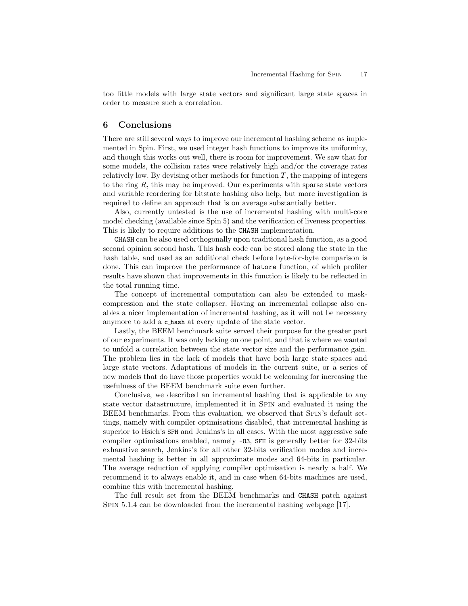too little models with large state vectors and significant large state spaces in order to measure such a correlation.

# 6 Conclusions

There are still several ways to improve our incremental hashing scheme as implemented in Spin. First, we used integer hash functions to improve its uniformity, and though this works out well, there is room for improvement. We saw that for some models, the collision rates were relatively high and/or the coverage rates relatively low. By devising other methods for function  $T$ , the mapping of integers to the ring  $R$ , this may be improved. Our experiments with sparse state vectors and variable reordering for bitstate hashing also help, but more investigation is required to define an approach that is on average substantially better.

Also, currently untested is the use of incremental hashing with multi-core model checking (available since Spin 5) and the verification of liveness properties. This is likely to require additions to the CHASH implementation.

CHASH can be also used orthogonally upon traditional hash function, as a good second opinion second hash. This hash code can be stored along the state in the hash table, and used as an additional check before byte-for-byte comparison is done. This can improve the performance of hstore function, of which profiler results have shown that improvements in this function is likely to be reflected in the total running time.

The concept of incremental computation can also be extended to maskcompression and the state collapser. Having an incremental collapse also enables a nicer implementation of incremental hashing, as it will not be necessary anymore to add a c hash at every update of the state vector.

Lastly, the BEEM benchmark suite served their purpose for the greater part of our experiments. It was only lacking on one point, and that is where we wanted to unfold a correlation between the state vector size and the performance gain. The problem lies in the lack of models that have both large state spaces and large state vectors. Adaptations of models in the current suite, or a series of new models that do have those properties would be welcoming for increasing the usefulness of the BEEM benchmark suite even further.

Conclusive, we described an incremental hashing that is applicable to any state vector datastructure, implemented it in Spin and evaluated it using the BEEM benchmarks. From this evaluation, we observed that Spin's default settings, namely with compiler optimisations disabled, that incremental hashing is superior to Hsieh's SFH and Jenkins's in all cases. With the most aggressive safe compiler optimisations enabled, namely  $-03$ , SFH is generally better for 32-bits exhaustive search, Jenkins's for all other 32-bits verification modes and incremental hashing is better in all approximate modes and 64-bits in particular. The average reduction of applying compiler optimisation is nearly a half. We recommend it to always enable it, and in case when 64-bits machines are used, combine this with incremental hashing.

The full result set from the BEEM benchmarks and CHASH patch against Spin 5.1.4 can be downloaded from the incremental hashing webpage [17].